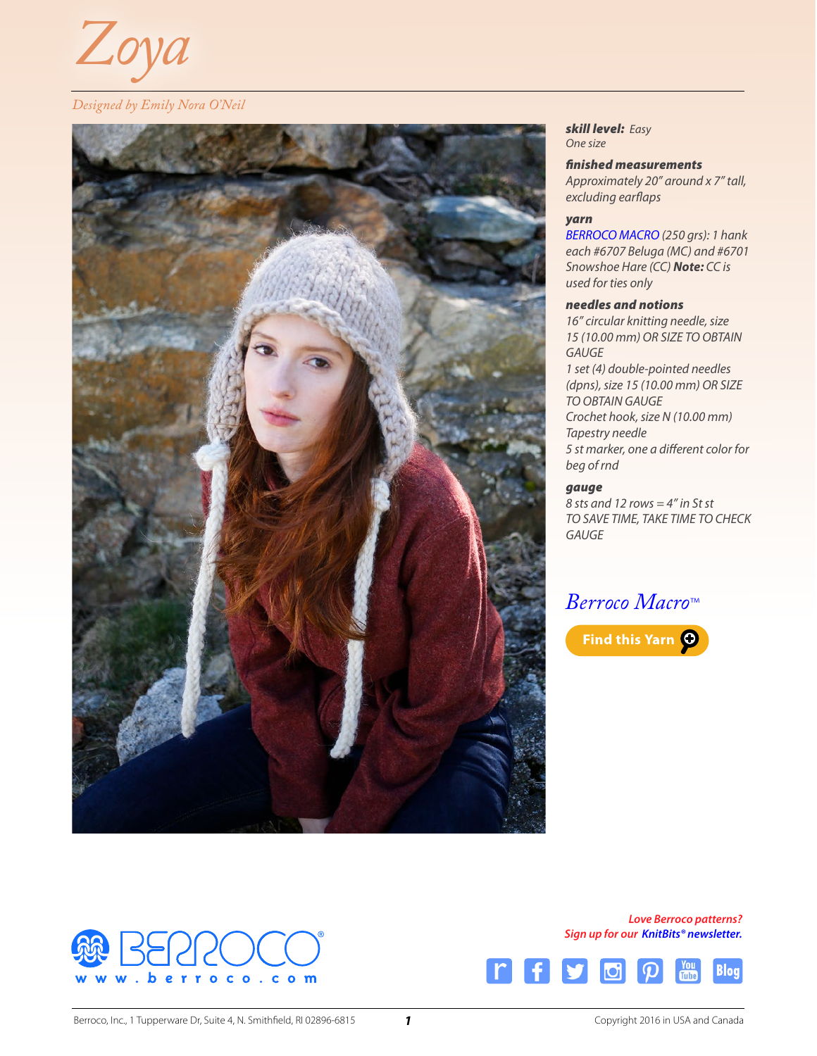

### *Designed by Emily Nora O'Neil*



*skill level: Easy One size*

#### *finished measurements*

*Approximately 20" around x 7" tall, excluding earflaps*

#### *yarn*

*[BERROCO MACRO](http://www.berroco.com/yarns/berroco-macro) (250 grs): 1 hank each #6707 Beluga (MC) and #6701 Snowshoe Hare (CC) Note: CC is used for ties only*

#### *needles and notions*

*16" circular knitting needle, size 15 (10.00 mm) OR SIZE TO OBTAIN GAUGE 1 set (4) double-pointed needles (dpns), size 15 (10.00 mm) OR SIZE TO OBTAIN GAUGE Crochet hook, size N (10.00 mm) Tapestry needle 5 st marker, one a different color for beg of rnd*

#### *gauge*

*8 sts and 12 rows = 4" in St st TO SAVE TIME, TAKE TIME TO CHECK GAUGE*

# *[Berroco Macro](http://www.berroco.com/locator/?brand=Berroco&yarn=Macro)*™





*Love Berroco patterns? Sign up for our [KnitBits® newsletter](http://www.berroco.com/knitbits-newsletter).*

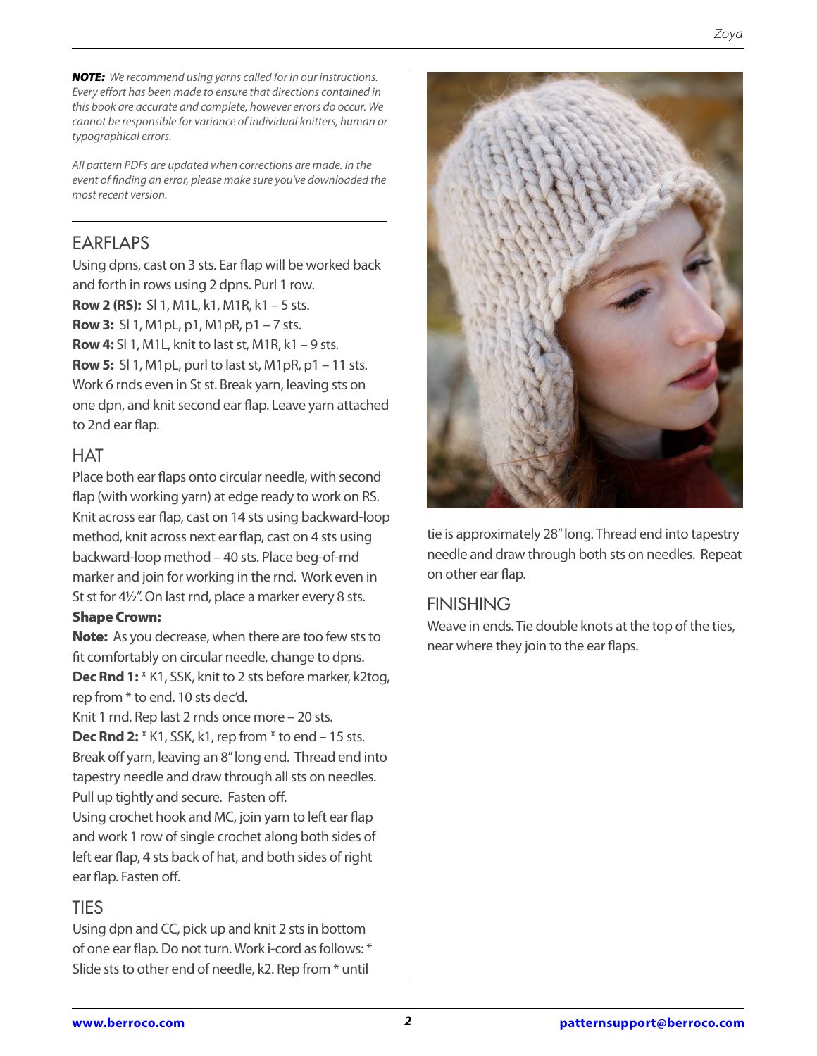*NOTE: We recommend using yarns called for in our instructions. Every effort has been made to ensure that directions contained in this book are accurate and complete, however errors do occur. We cannot be responsible for variance of individual knitters, human or typographical errors.*

*All pattern PDFs are updated when corrections are made. In the event of finding an error, please make sure you've downloaded the most recent version.*

# EARFLAPS

Using dpns, cast on 3 sts. Ear flap will be worked back and forth in rows using 2 dpns. Purl 1 row. **Row 2 (RS):** Sl 1, M1L, k1, M1R, k1 – 5 sts. **Row 3:** Sl 1, M1pL, p1, M1pR, p1 – 7 sts. **Row 4:** Sl 1, M1L, knit to last st, M1R, k1 – 9 sts. **Row 5:** Sl 1, M1pL, purl to last st, M1pR, p1 – 11 sts. Work 6 rnds even in St st. Break yarn, leaving sts on one dpn, and knit second ear flap. Leave yarn attached to 2nd ear flap.

### **HAT**

Place both ear flaps onto circular needle, with second flap (with working yarn) at edge ready to work on RS. Knit across ear flap, cast on 14 sts using backward-loop method, knit across next ear flap, cast on 4 sts using backward-loop method – 40 sts. Place beg-of-rnd marker and join for working in the rnd. Work even in St st for 4½". On last rnd, place a marker every 8 sts.

### Shape Crown:

Note: As you decrease, when there are too few sts to fit comfortably on circular needle, change to dpns. **Dec Rnd 1:**  $*$  K1, SSK, knit to 2 sts before marker, k2tog, rep from \* to end. 10 sts dec'd.

Knit 1 rnd. Rep last 2 rnds once more – 20 sts. **Dec Rnd 2:** \* K1, SSK, k1, rep from \* to end – 15 sts. Break off yarn, leaving an 8" long end. Thread end into tapestry needle and draw through all sts on needles. Pull up tightly and secure. Fasten off.

Using crochet hook and MC, join yarn to left ear flap and work 1 row of single crochet along both sides of left ear flap, 4 sts back of hat, and both sides of right ear flap. Fasten off.

## **TIES**

Using dpn and CC, pick up and knit 2 sts in bottom of one ear flap. Do not turn. Work i-cord as follows: \* Slide sts to other end of needle, k2. Rep from \* until



tie is approximately 28" long. Thread end into tapestry needle and draw through both sts on needles. Repeat on other ear flap.

## FINISHING

Weave in ends. Tie double knots at the top of the ties, near where they join to the ear flaps.